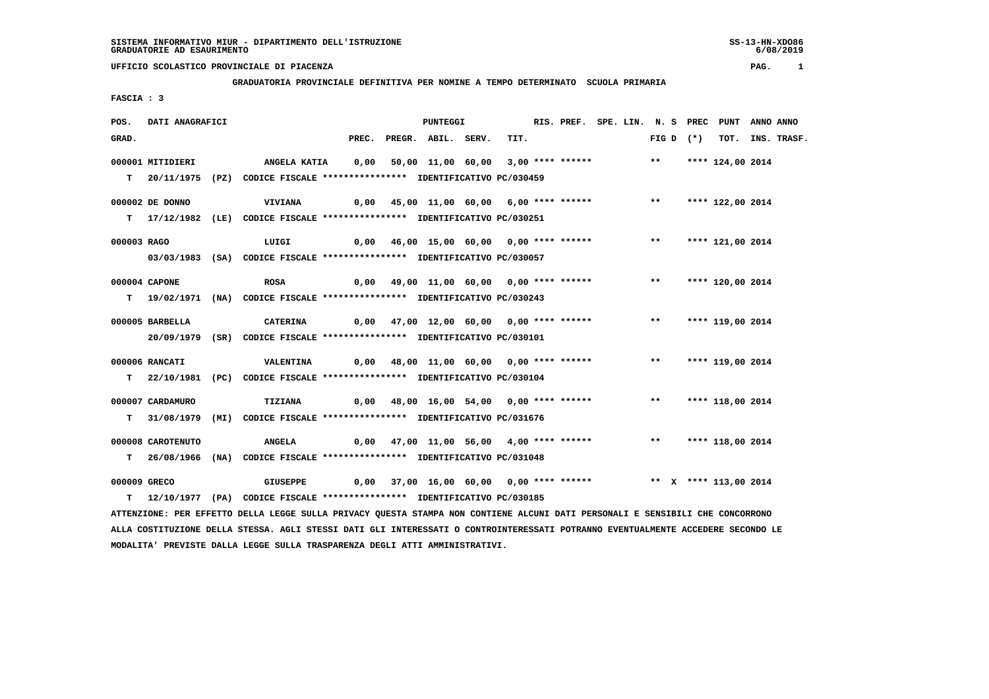**GRADUATORIA PROVINCIALE DEFINITIVA PER NOMINE A TEMPO DETERMINATO SCUOLA PRIMARIA**

 **FASCIA : 3**

| POS.         | DATI ANAGRAFICI   |                                                                                                                               |  | <b>PUNTEGGI</b>                                                           |      | RIS. PREF. SPE. LIN. N. S PREC PUNT ANNO ANNO |  |                     |                  |                  |
|--------------|-------------------|-------------------------------------------------------------------------------------------------------------------------------|--|---------------------------------------------------------------------------|------|-----------------------------------------------|--|---------------------|------------------|------------------|
| GRAD.        |                   |                                                                                                                               |  | PREC. PREGR. ABIL. SERV.                                                  | TIT. |                                               |  | FIG D $(*)$         |                  | TOT. INS. TRASF. |
|              | 000001 MITIDIERI  | ANGELA KATIA     0,00   50,00  11,00  60,00   3,00 **** ******               **      **** 124,00 2014                         |  |                                                                           |      |                                               |  |                     |                  |                  |
|              |                   | T 20/11/1975 (PZ) CODICE FISCALE **************** IDENTIFICATIVO PC/030459                                                    |  |                                                                           |      |                                               |  |                     |                  |                  |
|              |                   |                                                                                                                               |  |                                                                           |      |                                               |  |                     |                  |                  |
|              | 000002 DE DONNO   | <b>VIVIANA</b>                                                                                                                |  | 0,00 45,00 11,00 60,00 6,00 **** ****** *** *** **** 122,00 2014          |      |                                               |  |                     |                  |                  |
|              |                   | T 17/12/1982 (LE) CODICE FISCALE *************** IDENTIFICATIVO PC/030251                                                     |  |                                                                           |      |                                               |  |                     |                  |                  |
|              |                   |                                                                                                                               |  |                                                                           |      |                                               |  |                     |                  |                  |
| 000003 RAGO  |                   | LUIGI                                                                                                                         |  | 0,00 46,00 15,00 60,00 0,00 **** ****** *** **                            |      |                                               |  |                     | **** 121,00 2014 |                  |
|              |                   | 03/03/1983 (SA) CODICE FISCALE *************** IDENTIFICATIVO PC/030057                                                       |  |                                                                           |      |                                               |  |                     |                  |                  |
|              | 000004 CAPONE     | <b>ROSA</b>                                                                                                                   |  | 0,00 49,00 11,00 60,00 0,00 **** ****** *** **                            |      |                                               |  |                     | **** 120,00 2014 |                  |
|              |                   | T 19/02/1971 (NA) CODICE FISCALE **************** IDENTIFICATIVO PC/030243                                                    |  |                                                                           |      |                                               |  |                     |                  |                  |
|              |                   |                                                                                                                               |  |                                                                           |      |                                               |  |                     |                  |                  |
|              | 000005 BARBELLA   | CATERINA                                                                                                                      |  |                                                                           |      |                                               |  |                     |                  |                  |
|              |                   | 20/09/1979 (SR) CODICE FISCALE *************** IDENTIFICATIVO PC/030101                                                       |  |                                                                           |      |                                               |  |                     |                  |                  |
|              |                   |                                                                                                                               |  |                                                                           |      |                                               |  |                     |                  |                  |
|              | 000006 RANCATI    | <b>VALENTINA</b>                                                                                                              |  | 0,00 48,00 11,00 60,00 0,00 **** ******           **     **** 119,00 2014 |      |                                               |  |                     |                  |                  |
|              |                   | T 22/10/1981 (PC) CODICE FISCALE *************** IDENTIFICATIVO PC/030104                                                     |  |                                                                           |      |                                               |  |                     |                  |                  |
|              | 000007 CARDAMURO  | TIZIANA                                                                                                                       |  | 0,00 48,00 16,00 54,00 0,00 **** ****** *** *** **** 118,00 2014          |      |                                               |  |                     |                  |                  |
|              |                   | T 31/08/1979 (MI) CODICE FISCALE *************** IDENTIFICATIVO PC/031676                                                     |  |                                                                           |      |                                               |  |                     |                  |                  |
|              |                   |                                                                                                                               |  |                                                                           |      |                                               |  |                     |                  |                  |
|              | 000008 CAROTENUTO | <b>ANGELA</b>                                                                                                                 |  | 0,00 47,00 11,00 56,00 4,00 **** ******                                   |      |                                               |  | ** **** 118,00 2014 |                  |                  |
|              |                   | T 26/08/1966 (NA) CODICE FISCALE **************** IDENTIFICATIVO PC/031048                                                    |  |                                                                           |      |                                               |  |                     |                  |                  |
| 000009 GRECO |                   | <b>GIUSEPPE</b>                                                                                                               |  | 0,00 37,00 16,00 60,00 0,00 **** ******           ** x **** 113,00 2014   |      |                                               |  |                     |                  |                  |
|              |                   | T 12/10/1977 (PA) CODICE FISCALE *************** IDENTIFICATIVO PC/030185                                                     |  |                                                                           |      |                                               |  |                     |                  |                  |
|              |                   | ATTENZIONE: PER EFFETTO DELLA LEGGE SULLA PRIVACY QUESTA STAMPA NON CONTIENE ALCUNI DATI PERSONALI E SENSIBILI CHE CONCORRONO |  |                                                                           |      |                                               |  |                     |                  |                  |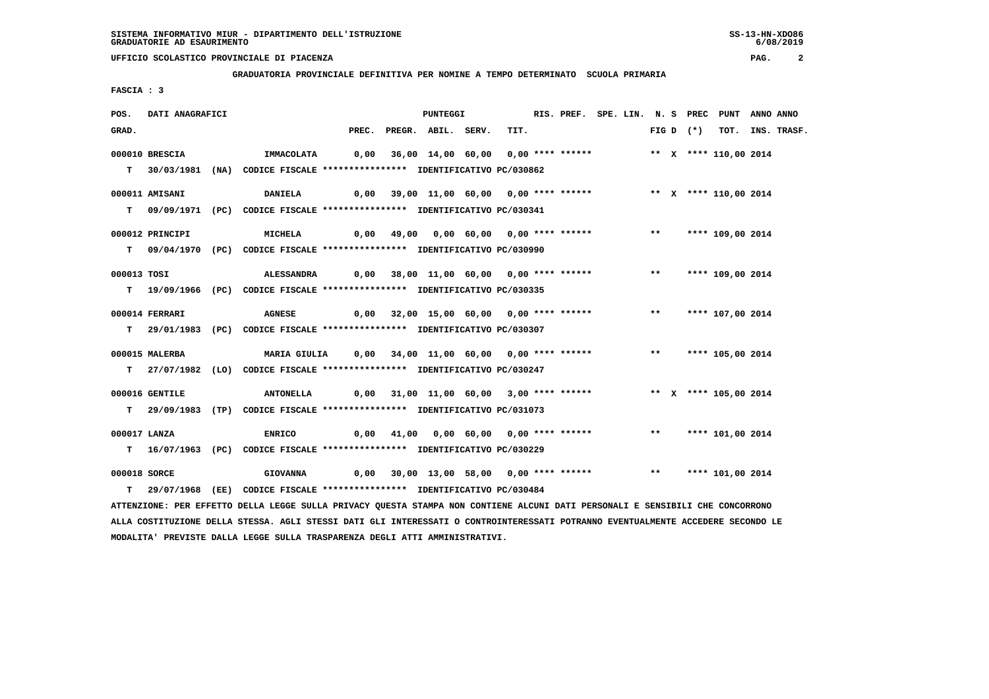**GRADUATORIA PROVINCIALE DEFINITIVA PER NOMINE A TEMPO DETERMINATO SCUOLA PRIMARIA**

 **FASCIA : 3**

| POS.         | DATI ANAGRAFICI |                                                                                                                               |  | PUNTEGGI                                                                |      | RIS. PREF. SPE. LIN. N. S PREC PUNT ANNO ANNO |  |       |             |                  |                  |
|--------------|-----------------|-------------------------------------------------------------------------------------------------------------------------------|--|-------------------------------------------------------------------------|------|-----------------------------------------------|--|-------|-------------|------------------|------------------|
| GRAD.        |                 |                                                                                                                               |  | PREC. PREGR. ABIL. SERV.                                                | TIT. |                                               |  |       | FIG D $(*)$ |                  | TOT. INS. TRASF. |
|              | 000010 BRESCIA  | IMMACOLATA                                                                                                                    |  | 0,00 36,00 14,00 60,00 0,00 **** ******           ** x **** 110,00 2014 |      |                                               |  |       |             |                  |                  |
|              |                 |                                                                                                                               |  |                                                                         |      |                                               |  |       |             |                  |                  |
|              |                 | T 30/03/1981 (NA) CODICE FISCALE *************** IDENTIFICATIVO PC/030862                                                     |  |                                                                         |      |                                               |  |       |             |                  |                  |
|              | 000011 AMISANI  | <b>DANIELA</b>                                                                                                                |  | 0,00 39,00 11,00 60,00 0,00 **** ****** *** ** ** **** 110,00 2014      |      |                                               |  |       |             |                  |                  |
|              |                 | T 09/09/1971 (PC) CODICE FISCALE *************** IDENTIFICATIVO PC/030341                                                     |  |                                                                         |      |                                               |  |       |             |                  |                  |
|              |                 |                                                                                                                               |  |                                                                         |      |                                               |  |       |             |                  |                  |
|              | 000012 PRINCIPI | <b>MICHELA</b>                                                                                                                |  | 0,00 49,00 0,00 60,00 0,00 **** ******     **   **** 109,00 2014        |      |                                               |  |       |             |                  |                  |
|              |                 | T 09/04/1970 (PC) CODICE FISCALE **************** IDENTIFICATIVO PC/030990                                                    |  |                                                                         |      |                                               |  |       |             |                  |                  |
|              |                 |                                                                                                                               |  |                                                                         |      |                                               |  |       |             |                  |                  |
| 000013 TOSI  |                 | ALESSANDRA                                                                                                                    |  |                                                                         |      |                                               |  |       |             |                  |                  |
|              |                 | T 19/09/1966 (PC) CODICE FISCALE **************** IDENTIFICATIVO PC/030335                                                    |  |                                                                         |      |                                               |  |       |             |                  |                  |
|              | 000014 FERRARI  | <b>AGNESE</b>                                                                                                                 |  | 0,00 32,00 15,00 60,00 0,00 **** ****** *** **                          |      |                                               |  |       |             | **** 107,00 2014 |                  |
|              |                 | T 29/01/1983 (PC) CODICE FISCALE *************** IDENTIFICATIVO PC/030307                                                     |  |                                                                         |      |                                               |  |       |             |                  |                  |
|              |                 |                                                                                                                               |  |                                                                         |      |                                               |  |       |             |                  |                  |
|              | 000015 MALERBA  | MARIA GIULIA 0,00 34,00 11,00 60,00 0,00 **** ****** **** **** 105,00 2014                                                    |  |                                                                         |      |                                               |  |       |             |                  |                  |
|              |                 | T 27/07/1982 (LO) CODICE FISCALE **************** IDENTIFICATIVO PC/030247                                                    |  |                                                                         |      |                                               |  |       |             |                  |                  |
|              |                 |                                                                                                                               |  |                                                                         |      |                                               |  |       |             |                  |                  |
|              | 000016 GENTILE  | ANTONELLA 0,00 31,00 11,00 60,00 3,00 **** ****** *** ** X **** 105,00 2014                                                   |  |                                                                         |      |                                               |  |       |             |                  |                  |
|              |                 | T 29/09/1983 (TP) CODICE FISCALE *************** IDENTIFICATIVO PC/031073                                                     |  |                                                                         |      |                                               |  |       |             |                  |                  |
| 000017 LANZA |                 | <b>ENRICO</b>                                                                                                                 |  | 0,00 41,00 0,00 60,00 0,00 **** ******                                  |      |                                               |  | $***$ |             | **** 101,00 2014 |                  |
|              |                 | T 16/07/1963 (PC) CODICE FISCALE *************** IDENTIFICATIVO PC/030229                                                     |  |                                                                         |      |                                               |  |       |             |                  |                  |
|              |                 |                                                                                                                               |  |                                                                         |      |                                               |  |       |             |                  |                  |
| 000018 SORCE |                 | <b>GIOVANNA</b>                                                                                                               |  | 0,00 30,00 13,00 58,00 0,00 **** ****** *** **** 101,00 2014            |      |                                               |  |       |             |                  |                  |
|              |                 | T 29/07/1968 (EE) CODICE FISCALE **************** IDENTIFICATIVO PC/030484                                                    |  |                                                                         |      |                                               |  |       |             |                  |                  |
|              |                 | ATTENZIONE: PER EFFETTO DELLA LEGGE SULLA PRIVACY QUESTA STAMPA NON CONTIENE ALCUNI DATI PERSONALI E SENSIBILI CHE CONCORRONO |  |                                                                         |      |                                               |  |       |             |                  |                  |
|              |                 |                                                                                                                               |  |                                                                         |      |                                               |  |       |             |                  |                  |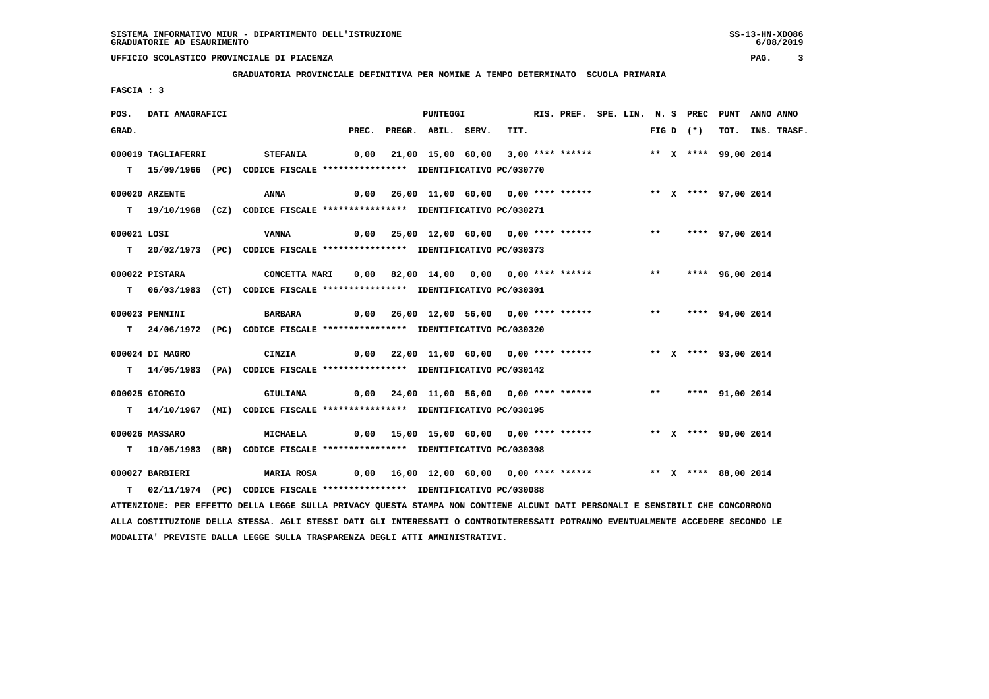**GRADUATORIA PROVINCIALE DEFINITIVA PER NOMINE A TEMPO DETERMINATO SCUOLA PRIMARIA**

 **FASCIA : 3**

| POS.        | DATI ANAGRAFICI    |                                                                                                                               |  | PUNTEGGI                                                                   |  | RIS. PREF. SPE. LIN. N. S PREC PUNT ANNO ANNO |  |  |             |  |                  |
|-------------|--------------------|-------------------------------------------------------------------------------------------------------------------------------|--|----------------------------------------------------------------------------|--|-----------------------------------------------|--|--|-------------|--|------------------|
| GRAD.       |                    |                                                                                                                               |  | PREC. PREGR. ABIL. SERV.                                                   |  | TIT.                                          |  |  | FIG D $(*)$ |  | TOT. INS. TRASF. |
|             | 000019 TAGLIAFERRI | STEFANIA     0,00   21,00 15,00   60,00   3,00 **** ******       ** X **** 99,00 2014                                         |  |                                                                            |  |                                               |  |  |             |  |                  |
|             |                    |                                                                                                                               |  |                                                                            |  |                                               |  |  |             |  |                  |
|             |                    | T 15/09/1966 (PC) CODICE FISCALE *************** IDENTIFICATIVO PC/030770                                                     |  |                                                                            |  |                                               |  |  |             |  |                  |
|             | 000020 ARZENTE     | 0,00 26,00 11,00 60,00 0,00 **** ******           ** x **** 97,00 2014<br>ANNA                                                |  |                                                                            |  |                                               |  |  |             |  |                  |
|             |                    | T 19/10/1968 (CZ) CODICE FISCALE *************** IDENTIFICATIVO PC/030271                                                     |  |                                                                            |  |                                               |  |  |             |  |                  |
|             |                    |                                                                                                                               |  |                                                                            |  |                                               |  |  |             |  |                  |
| 000021 LOSI |                    | VANNA                                                                                                                         |  | 0,00 25,00 12,00 60,00 0,00 **** ****** *** *** **** 97,00 2014            |  |                                               |  |  |             |  |                  |
|             |                    | T 20/02/1973 (PC) CODICE FISCALE *************** IDENTIFICATIVO PC/030373                                                     |  |                                                                            |  |                                               |  |  |             |  |                  |
|             | 000022 PISTARA     | CONCETTA MARI 0,00 82,00 14,00 0,00 0,00 **** ****** *** *** **** 96,00 2014                                                  |  |                                                                            |  |                                               |  |  |             |  |                  |
|             |                    | T 06/03/1983 (CT) CODICE FISCALE *************** IDENTIFICATIVO PC/030301                                                     |  |                                                                            |  |                                               |  |  |             |  |                  |
|             |                    |                                                                                                                               |  |                                                                            |  |                                               |  |  |             |  |                  |
|             | 000023 PENNINI     | <b>BARBARA</b>                                                                                                                |  | 0,00 26,00 12,00 56,00 0,00 **** ****** *** *** **** 94,00 2014            |  |                                               |  |  |             |  |                  |
|             |                    | T 24/06/1972 (PC) CODICE FISCALE **************** IDENTIFICATIVO PC/030320                                                    |  |                                                                            |  |                                               |  |  |             |  |                  |
|             |                    |                                                                                                                               |  |                                                                            |  |                                               |  |  |             |  |                  |
|             | 000024 DI MAGRO    | CINZIA                                                                                                                        |  | 0,00 22,00 11,00 60,00 0,00 **** ****** *** ** ** **** 93,00 2014          |  |                                               |  |  |             |  |                  |
|             |                    | T 14/05/1983 (PA) CODICE FISCALE *************** IDENTIFICATIVO PC/030142                                                     |  |                                                                            |  |                                               |  |  |             |  |                  |
|             | 000025 GIORGIO     | <b>GIULIANA</b>                                                                                                               |  | 0,00 24,00 11,00 56,00 0,00 **** ******             **     **** 91,00 2014 |  |                                               |  |  |             |  |                  |
|             |                    | T 14/10/1967 (MI) CODICE FISCALE *************** IDENTIFICATIVO PC/030195                                                     |  |                                                                            |  |                                               |  |  |             |  |                  |
|             |                    |                                                                                                                               |  |                                                                            |  |                                               |  |  |             |  |                  |
|             | 000026 MASSARO     | <b>MICHAELA</b>                                                                                                               |  | 0,00 15,00 15,00 60,00 0,00 **** ******      ** x **** 90,00 2014          |  |                                               |  |  |             |  |                  |
|             |                    | T 10/05/1983 (BR) CODICE FISCALE **************** IDENTIFICATIVO PC/030308                                                    |  |                                                                            |  |                                               |  |  |             |  |                  |
|             |                    |                                                                                                                               |  |                                                                            |  |                                               |  |  |             |  |                  |
|             | 000027 BARBIERI    | MARIA ROSA       0,00   16,00   12,00   60,00   0,00 **** ******               **   X  ****   88,00 2014                      |  |                                                                            |  |                                               |  |  |             |  |                  |
|             |                    | T 02/11/1974 (PC) CODICE FISCALE *************** IDENTIFICATIVO PC/030088                                                     |  |                                                                            |  |                                               |  |  |             |  |                  |
|             |                    | ATTENZIONE: PER EFFETTO DELLA LEGGE SULLA PRIVACY QUESTA STAMPA NON CONTIENE ALCUNI DATI PERSONALI E SENSIBILI CHE CONCORRONO |  |                                                                            |  |                                               |  |  |             |  |                  |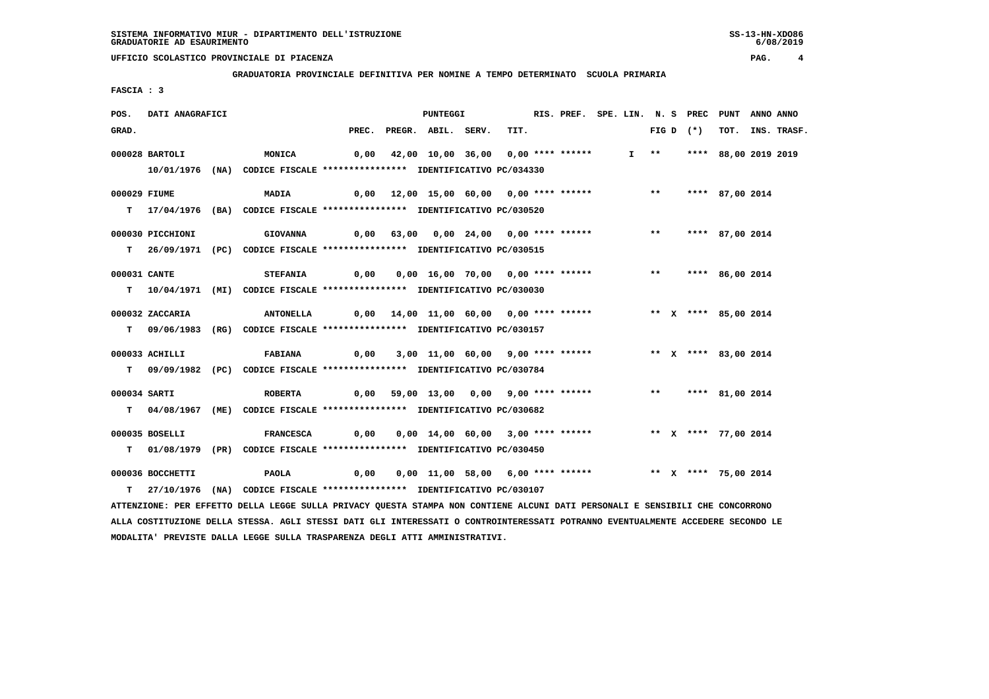**GRADUATORIA PROVINCIALE DEFINITIVA PER NOMINE A TEMPO DETERMINATO SCUOLA PRIMARIA**

 **FASCIA : 3**

| POS.         | DATI ANAGRAFICI  |                                                                                                                               |      | PUNTEGGI                                                                            |      | RIS. PREF. SPE. LIN. N. S PREC PUNT |  |  |             |                           | ANNO ANNO |                  |
|--------------|------------------|-------------------------------------------------------------------------------------------------------------------------------|------|-------------------------------------------------------------------------------------|------|-------------------------------------|--|--|-------------|---------------------------|-----------|------------------|
| GRAD.        |                  |                                                                                                                               |      | PREC. PREGR. ABIL. SERV.                                                            | TIT. |                                     |  |  | FIG D $(*)$ |                           |           | TOT. INS. TRASF. |
|              | $000028$ BARTOLI | <b>MONICA</b>                                                                                                                 |      | 0,00 42,00 10,00 36,00 0,00 **** ******                                             |      |                                     |  |  |             | I ** **** 88,00 2019 2019 |           |                  |
|              |                  | 10/01/1976 (NA) CODICE FISCALE *************** IDENTIFICATIVO PC/034330                                                       |      |                                                                                     |      |                                     |  |  |             |                           |           |                  |
|              |                  |                                                                                                                               |      |                                                                                     |      |                                     |  |  |             |                           |           |                  |
| 000029 FIUME |                  | MADIA                                                                                                                         |      | 0,00 12,00 15,00 60,00 0,00 **** ****** *** *** **** 87,00 2014                     |      |                                     |  |  |             |                           |           |                  |
|              |                  | T 17/04/1976 (BA) CODICE FISCALE **************** IDENTIFICATIVO PC/030520                                                    |      |                                                                                     |      |                                     |  |  |             |                           |           |                  |
|              | 000030 PICCHIONI | <b>GIOVANNA</b>                                                                                                               |      | 0,00 63,00 0,00 24,00 0,00 **** ******           **     **** 87,00 2014             |      |                                     |  |  |             |                           |           |                  |
|              |                  | T 26/09/1971 (PC) CODICE FISCALE *************** IDENTIFICATIVO PC/030515                                                     |      |                                                                                     |      |                                     |  |  |             |                           |           |                  |
|              |                  |                                                                                                                               |      |                                                                                     |      |                                     |  |  |             |                           |           |                  |
| 000031 CANTE |                  | <b>STEFANIA</b>                                                                                                               |      | 0,00  0,00  16,00  70,00  0,00  ****  ******    **        ***    ***    86,00  2014 |      |                                     |  |  |             |                           |           |                  |
|              |                  | T  10/04/1971 (MI) CODICE FISCALE *************** IDENTIFICATIVO PC/030030                                                    |      |                                                                                     |      |                                     |  |  |             |                           |           |                  |
|              | 000032 ZACCARIA  | <b>ANTONELLA</b>                                                                                                              |      | $0,00$ 14,00 11,00 60,00 0,00 **** ******                                           |      |                                     |  |  |             | ** X **** 85,00 2014      |           |                  |
|              |                  | T 09/06/1983 (RG) CODICE FISCALE *************** IDENTIFICATIVO PC/030157                                                     |      |                                                                                     |      |                                     |  |  |             |                           |           |                  |
|              | 000033 ACHILLI   | <b>FABIANA</b>                                                                                                                | 0,00 | 3,00 11,00 60,00 9,00 **** ****** * *** * **** 83,00 2014                           |      |                                     |  |  |             |                           |           |                  |
|              |                  |                                                                                                                               |      |                                                                                     |      |                                     |  |  |             |                           |           |                  |
|              |                  | T 09/09/1982 (PC) CODICE FISCALE *************** IDENTIFICATIVO PC/030784                                                     |      |                                                                                     |      |                                     |  |  |             |                           |           |                  |
| 000034 SARTI |                  | <b>ROBERTA</b>                                                                                                                |      | 0,00 59,00 13,00 0,00 9,00 **** ****** *** **** 81,00 2014                          |      |                                     |  |  |             |                           |           |                  |
|              |                  | T 04/08/1967 (ME) CODICE FISCALE *************** IDENTIFICATIVO PC/030682                                                     |      |                                                                                     |      |                                     |  |  |             |                           |           |                  |
|              |                  |                                                                                                                               |      |                                                                                     |      |                                     |  |  |             |                           |           |                  |
|              | 000035 BOSELLI   | <b>FRANCESCA</b>                                                                                                              | 0,00 | 0,00 14,00 60,00 3,00 **** ****** **** ** * *** 77,00 2014                          |      |                                     |  |  |             |                           |           |                  |
|              |                  | T 01/08/1979 (PR) CODICE FISCALE **************** IDENTIFICATIVO PC/030450                                                    |      |                                                                                     |      |                                     |  |  |             |                           |           |                  |
|              | 000036 BOCCHETTI | PAOLA                                                                                                                         | 0,00 | 0,00 11,00 58,00 6,00 **** ******                                                   |      |                                     |  |  |             | ** X **** 75,00 2014      |           |                  |
|              |                  | T 27/10/1976 (NA) CODICE FISCALE *************** IDENTIFICATIVO PC/030107                                                     |      |                                                                                     |      |                                     |  |  |             |                           |           |                  |
|              |                  | ATTENZIONE: PER EFFETTO DELLA LEGGE SULLA PRIVACY QUESTA STAMPA NON CONTIENE ALCUNI DATI PERSONALI E SENSIBILI CHE CONCORRONO |      |                                                                                     |      |                                     |  |  |             |                           |           |                  |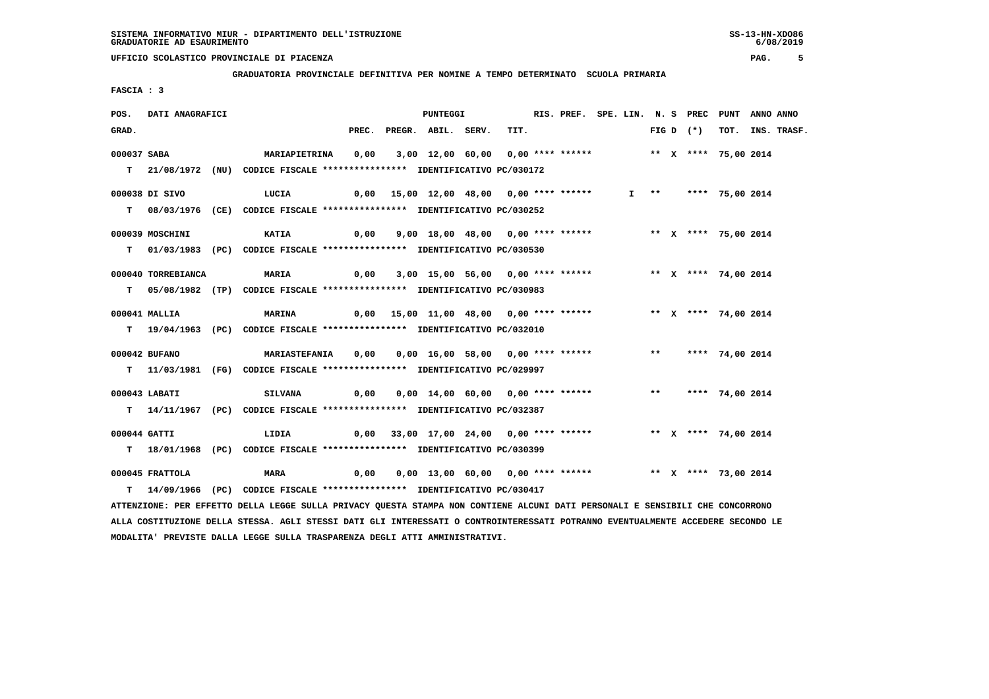**GRADUATORIA PROVINCIALE DEFINITIVA PER NOMINE A TEMPO DETERMINATO SCUOLA PRIMARIA**

 **FASCIA : 3**

| POS.         | DATI ANAGRAFICI    |                                                                                                                               |      |                                                                                     | PUNTEGGI                                                           |  | RIS. PREF. SPE. LIN. N. S PREC PUNT ANNO ANNO |  |  |             |  |                  |
|--------------|--------------------|-------------------------------------------------------------------------------------------------------------------------------|------|-------------------------------------------------------------------------------------|--------------------------------------------------------------------|--|-----------------------------------------------|--|--|-------------|--|------------------|
| GRAD.        |                    |                                                                                                                               |      | PREC. PREGR. ABIL. SERV.                                                            |                                                                    |  | TIT.                                          |  |  | FIG D $(*)$ |  | TOT. INS. TRASF. |
| 000037 SABA  |                    |                                                                                                                               |      |                                                                                     |                                                                    |  |                                               |  |  |             |  |                  |
|              |                    |                                                                                                                               |      |                                                                                     |                                                                    |  |                                               |  |  |             |  |                  |
|              |                    | T 21/08/1972 (NU) CODICE FISCALE **************** IDENTIFICATIVO PC/030172                                                    |      |                                                                                     |                                                                    |  |                                               |  |  |             |  |                  |
|              | 000038 DI SIVO     | 0,00 15,00 12,00 48,00  0,00 **** ******    I  **   **** 75,00 2014<br>LUCIA                                                  |      |                                                                                     |                                                                    |  |                                               |  |  |             |  |                  |
|              |                    | T 08/03/1976 (CE) CODICE FISCALE *************** IDENTIFICATIVO PC/030252                                                     |      |                                                                                     |                                                                    |  |                                               |  |  |             |  |                  |
|              |                    |                                                                                                                               |      |                                                                                     |                                                                    |  |                                               |  |  |             |  |                  |
|              | 000039 MOSCHINI    | 0,00   9,00 18,00  48,00   0,00 **** ******       ** x **** 75,00 2014<br><b>KATIA</b>                                        |      |                                                                                     |                                                                    |  |                                               |  |  |             |  |                  |
|              |                    | T 01/03/1983 (PC) CODICE FISCALE *************** IDENTIFICATIVO PC/030530                                                     |      |                                                                                     |                                                                    |  |                                               |  |  |             |  |                  |
|              |                    |                                                                                                                               |      |                                                                                     |                                                                    |  |                                               |  |  |             |  |                  |
|              | 000040 TORREBIANCA | <b>MARIA</b>                                                                                                                  |      | 0,00 3,00 15,00 56,00 0,00 **** ****** **** ** ** **** 74,00 2014                   |                                                                    |  |                                               |  |  |             |  |                  |
|              |                    | T 05/08/1982 (TP) CODICE FISCALE *************** IDENTIFICATIVO PC/030983                                                     |      |                                                                                     |                                                                    |  |                                               |  |  |             |  |                  |
|              | 000041 MALLIA      | 0,00 15,00 11,00 48,00  0,00 **** ******      ** x **** 74,00 2014<br><b>MARINA</b>                                           |      |                                                                                     |                                                                    |  |                                               |  |  |             |  |                  |
|              |                    | T 19/04/1963 (PC) CODICE FISCALE **************** IDENTIFICATIVO PC/032010                                                    |      |                                                                                     |                                                                    |  |                                               |  |  |             |  |                  |
|              |                    |                                                                                                                               |      |                                                                                     |                                                                    |  |                                               |  |  |             |  |                  |
|              | 000042 BUFANO      | <b>MARIASTEFANIA</b>                                                                                                          |      | 0,00  0,00  16,00  58,00  0,00  ****  ******    **        ***    ***    74,00  2014 |                                                                    |  |                                               |  |  |             |  |                  |
|              |                    | T 11/03/1981 (FG) CODICE FISCALE *************** IDENTIFICATIVO PC/029997                                                     |      |                                                                                     |                                                                    |  |                                               |  |  |             |  |                  |
|              |                    |                                                                                                                               |      |                                                                                     |                                                                    |  |                                               |  |  |             |  |                  |
|              | 000043 LABATI      | <b>SILVANA</b>                                                                                                                |      | 0,00 0,00 14,00 60,00 0,00 **** ****** *** **** 74,00 2014                          |                                                                    |  |                                               |  |  |             |  |                  |
|              |                    | T 14/11/1967 (PC) CODICE FISCALE *************** IDENTIFICATIVO PC/032387                                                     |      |                                                                                     |                                                                    |  |                                               |  |  |             |  |                  |
|              |                    |                                                                                                                               |      |                                                                                     |                                                                    |  |                                               |  |  |             |  |                  |
| 000044 GATTI |                    | LIDIA                                                                                                                         |      | 0,00 33,00 17,00 24,00 0,00 **** ****** * *** * **** 74,00 2014                     |                                                                    |  |                                               |  |  |             |  |                  |
|              |                    | T 18/01/1968 (PC) CODICE FISCALE *************** IDENTIFICATIVO PC/030399                                                     |      |                                                                                     |                                                                    |  |                                               |  |  |             |  |                  |
|              | 000045 FRATTOLA    | <b>MARA</b>                                                                                                                   | 0,00 |                                                                                     | 0,00 13,00 60,00 0,00 **** ******             ** x **** 73,00 2014 |  |                                               |  |  |             |  |                  |
|              |                    | T 14/09/1966 (PC) CODICE FISCALE **************** IDENTIFICATIVO PC/030417                                                    |      |                                                                                     |                                                                    |  |                                               |  |  |             |  |                  |
|              |                    | ATTENZIONE: PER EFFETTO DELLA LEGGE SULLA PRIVACY QUESTA STAMPA NON CONTIENE ALCUNI DATI PERSONALI E SENSIBILI CHE CONCORRONO |      |                                                                                     |                                                                    |  |                                               |  |  |             |  |                  |
|              |                    |                                                                                                                               |      |                                                                                     |                                                                    |  |                                               |  |  |             |  |                  |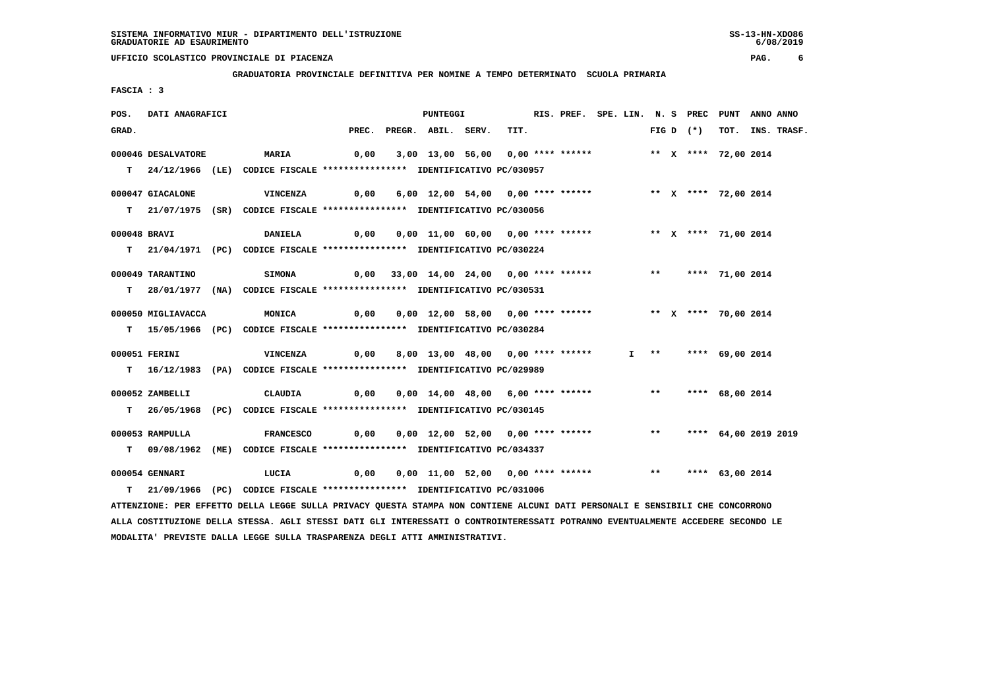**GRADUATORIA PROVINCIALE DEFINITIVA PER NOMINE A TEMPO DETERMINATO SCUOLA PRIMARIA**

 **FASCIA : 3**

| POS.         | DATI ANAGRAFICI    |                                                                                                                                 |                                        | <b>PUNTEGGI</b>                                                                         |      | RIS. PREF. SPE. LIN. N. S PREC PUNT ANNO ANNO |  |  |             |                        |                  |
|--------------|--------------------|---------------------------------------------------------------------------------------------------------------------------------|----------------------------------------|-----------------------------------------------------------------------------------------|------|-----------------------------------------------|--|--|-------------|------------------------|------------------|
| GRAD.        |                    |                                                                                                                                 |                                        | PREC. PREGR. ABIL. SERV.                                                                | TIT. |                                               |  |  | FIG D $(*)$ |                        | TOT. INS. TRASF. |
|              | 000046 DESALVATORE | <b>MARIA</b>                                                                                                                    | 0,00                                   | 3,00 13,00 56,00 0,00 **** ******               ** x **** 72,00 2014                    |      |                                               |  |  |             |                        |                  |
|              |                    |                                                                                                                                 |                                        |                                                                                         |      |                                               |  |  |             |                        |                  |
|              |                    | T 24/12/1966 (LE) CODICE FISCALE *************** IDENTIFICATIVO PC/030957                                                       |                                        |                                                                                         |      |                                               |  |  |             |                        |                  |
|              | 000047 GIACALONE   | <b>VINCENZA</b>                                                                                                                 | 0,00                                   | 6,00 12,00 54,00 0,00 **** ****** * ** * **** 72,00 2014                                |      |                                               |  |  |             |                        |                  |
|              |                    | T 21/07/1975 (SR) CODICE FISCALE **************** IDENTIFICATIVO PC/030056                                                      |                                        |                                                                                         |      |                                               |  |  |             |                        |                  |
|              |                    |                                                                                                                                 |                                        |                                                                                         |      |                                               |  |  |             |                        |                  |
| 000048 BRAVI |                    | <b>DANIELA</b>                                                                                                                  |                                        | 0,00  0,00  11,00  60,00  0,00  ****  ******    **    **    ****  71,00  2014           |      |                                               |  |  |             |                        |                  |
|              |                    | T 21/04/1971 (PC) CODICE FISCALE **************** IDENTIFICATIVO PC/030224                                                      |                                        |                                                                                         |      |                                               |  |  |             |                        |                  |
|              | 000049 TARANTINO   | <b>SIMONA</b>                                                                                                                   |                                        | 0,00 33,00 14,00 24,00 0,00 **** ****** *** *** **** 71,00 2014                         |      |                                               |  |  |             |                        |                  |
|              |                    |                                                                                                                                 |                                        |                                                                                         |      |                                               |  |  |             |                        |                  |
|              |                    | T 28/01/1977 (NA) CODICE FISCALE **************** IDENTIFICATIVO PC/030531                                                      |                                        |                                                                                         |      |                                               |  |  |             |                        |                  |
|              | 000050 MIGLIAVACCA | MONICA                                                                                                                          |                                        |                                                                                         |      |                                               |  |  |             | ** X **** 70,00 2014   |                  |
|              |                    | T 15/05/1966 (PC) CODICE FISCALE *************** IDENTIFICATIVO PC/030284                                                       |                                        |                                                                                         |      |                                               |  |  |             |                        |                  |
|              |                    |                                                                                                                                 |                                        |                                                                                         |      |                                               |  |  |             |                        |                  |
|              | 000051 FERINI      | <b>VINCENZA</b>                                                                                                                 | 0,00 8,00 13,00 48,00 0,00 **** ****** |                                                                                         |      |                                               |  |  |             | $I$ ** **** 69,00 2014 |                  |
|              |                    | T 16/12/1983 (PA) CODICE FISCALE **************** IDENTIFICATIVO PC/029989                                                      |                                        |                                                                                         |      |                                               |  |  |             |                        |                  |
|              |                    |                                                                                                                                 |                                        |                                                                                         |      |                                               |  |  |             |                        |                  |
|              | 000052 ZAMBELLI    | <b>CLAUDIA</b>                                                                                                                  | 0,00                                   | 0,00 14,00 48,00 6,00 **** ****** *** **                                                |      |                                               |  |  |             | **** 68,00 2014        |                  |
|              |                    | T 26/05/1968 (PC) CODICE FISCALE **************** IDENTIFICATIVO PC/030145                                                      |                                        |                                                                                         |      |                                               |  |  |             |                        |                  |
|              | 000053 RAMPULLA    | <b>FRANCESCO</b>                                                                                                                |                                        | 0,00  0,00  12,00  52,00  0,00  ****  ******           **     ****    64,00  2019  2019 |      |                                               |  |  |             |                        |                  |
|              |                    | T 09/08/1962 (ME) CODICE FISCALE *************** IDENTIFICATIVO PC/034337                                                       |                                        |                                                                                         |      |                                               |  |  |             |                        |                  |
|              |                    |                                                                                                                                 |                                        |                                                                                         |      |                                               |  |  |             |                        |                  |
|              | 000054 GENNARI     | LUCIA                                                                                                                           | 0,00                                   | 0,00 11,00 52,00 0,00 **** ****** *** *** **** 63,00 2014                               |      |                                               |  |  |             |                        |                  |
|              |                    | T 21/09/1966 (PC) CODICE FISCALE **************** IDENTIFICATIVO PC/031006                                                      |                                        |                                                                                         |      |                                               |  |  |             |                        |                  |
|              |                    | ATTENZIONE: PER EFFETTO DELLA LEGGE SULLA PRIVACY QUESTA STAMPA NON CONTIENE ALCUNI DATI PERSONALI E SENSIBILI CHE CONCORRONO   |                                        |                                                                                         |      |                                               |  |  |             |                        |                  |
|              |                    | ALLA COSTITUZIONE DELLA STESSA. AGLI STESSI DATI GLI INTERESSATI O CONTROINTERESSATI POTRANNO EVENTUALMENTE ACCEDERE SECONDO LE |                                        |                                                                                         |      |                                               |  |  |             |                        |                  |

 **MODALITA' PREVISTE DALLA LEGGE SULLA TRASPARENZA DEGLI ATTI AMMINISTRATIVI.**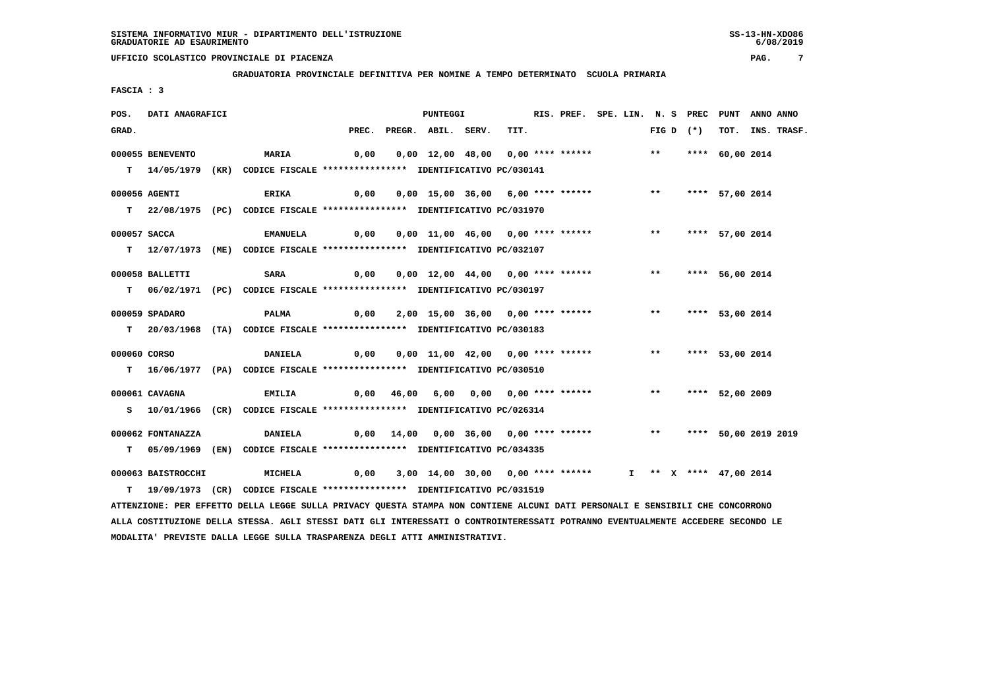**GRADUATORIA PROVINCIALE DEFINITIVA PER NOMINE A TEMPO DETERMINATO SCUOLA PRIMARIA**

 **FASCIA : 3**

| POS.         | DATI ANAGRAFICI    |                                                                                                                               |                                                                                         | PUNTEGGI                                                                            |      | RIS. PREF. SPE. LIN. N. S PREC PUNT |  |             | ANNO ANNO |                  |
|--------------|--------------------|-------------------------------------------------------------------------------------------------------------------------------|-----------------------------------------------------------------------------------------|-------------------------------------------------------------------------------------|------|-------------------------------------|--|-------------|-----------|------------------|
| GRAD.        |                    |                                                                                                                               | PREC.                                                                                   | PREGR. ABIL. SERV.                                                                  | TIT. |                                     |  | FIG D $(*)$ |           | TOT. INS. TRASF. |
|              | 000055 BENEVENTO   | <b>MARIA</b>                                                                                                                  | 0,00                                                                                    | 0,00 12,00 48,00 0,00 **** ****** *** **** 60,00 2014                               |      |                                     |  |             |           |                  |
|              |                    |                                                                                                                               |                                                                                         |                                                                                     |      |                                     |  |             |           |                  |
|              |                    | T 14/05/1979 (KR) CODICE FISCALE *************** IDENTIFICATIVO PC/030141                                                     |                                                                                         |                                                                                     |      |                                     |  |             |           |                  |
|              | 000056 AGENTI      | <b>ERIKA</b>                                                                                                                  | 0,00                                                                                    | 0,00 15,00 36,00 6,00 **** ****** *** *** **** 57,00 2014                           |      |                                     |  |             |           |                  |
|              |                    | T 22/08/1975 (PC) CODICE FISCALE **************** IDENTIFICATIVO PC/031970                                                    |                                                                                         |                                                                                     |      |                                     |  |             |           |                  |
|              |                    |                                                                                                                               |                                                                                         |                                                                                     |      |                                     |  |             |           |                  |
| 000057 SACCA |                    | <b>EMANUELA</b>                                                                                                               | 0,00  0,00  11,00  46,00  0,00  ****  ******            **          ****    57,00  2014 |                                                                                     |      |                                     |  |             |           |                  |
|              |                    | T 12/07/1973 (ME) CODICE FISCALE *************** IDENTIFICATIVO PC/032107                                                     |                                                                                         |                                                                                     |      |                                     |  |             |           |                  |
|              |                    |                                                                                                                               |                                                                                         |                                                                                     |      |                                     |  |             |           |                  |
|              | 000058 BALLETTI    | SARA                                                                                                                          |                                                                                         | 0,00  0,00  12,00  44,00  0,00  ****  ******    **        ***    ***    56,00  2014 |      |                                     |  |             |           |                  |
|              |                    | T 06/02/1971 (PC) CODICE FISCALE *************** IDENTIFICATIVO PC/030197                                                     |                                                                                         |                                                                                     |      |                                     |  |             |           |                  |
|              |                    |                                                                                                                               |                                                                                         |                                                                                     |      |                                     |  |             |           |                  |
|              | 000059 SPADARO     | <b>PALMA</b>                                                                                                                  | 0,00  2,00  15,00  36,00  0,00  ****  ******            **      ****    53,00  2014     |                                                                                     |      |                                     |  |             |           |                  |
|              |                    | T 20/03/1968 (TA) CODICE FISCALE *************** IDENTIFICATIVO PC/030183                                                     |                                                                                         |                                                                                     |      |                                     |  |             |           |                  |
| 000060 CORSO |                    | <b>DANIELA</b>                                                                                                                | 0,00  0,00  11,00  42,00  0,00  ****  ******    **        ***     53,00  2014           |                                                                                     |      |                                     |  |             |           |                  |
|              |                    |                                                                                                                               |                                                                                         |                                                                                     |      |                                     |  |             |           |                  |
|              |                    | T 16/06/1977 (PA) CODICE FISCALE *************** IDENTIFICATIVO PC/030510                                                     |                                                                                         |                                                                                     |      |                                     |  |             |           |                  |
|              | 000061 CAVAGNA     | <b>EMILIA</b>                                                                                                                 |                                                                                         | 0,00 46,00 6,00 0,00 0,00 **** ****** *** *** **** 52,00 2009                       |      |                                     |  |             |           |                  |
|              |                    | S 10/01/1966 (CR) CODICE FISCALE *************** IDENTIFICATIVO PC/026314                                                     |                                                                                         |                                                                                     |      |                                     |  |             |           |                  |
|              |                    |                                                                                                                               |                                                                                         |                                                                                     |      |                                     |  |             |           |                  |
|              | 000062 FONTANAZZA  | <b>DANIELA</b>                                                                                                                | 0,00 14,00 0,00 36,00 0,00 **** ******     **   **** 50,00 2019 2019                    |                                                                                     |      |                                     |  |             |           |                  |
|              |                    | T 05/09/1969 (EN) CODICE FISCALE *************** IDENTIFICATIVO PC/034335                                                     |                                                                                         |                                                                                     |      |                                     |  |             |           |                  |
|              |                    |                                                                                                                               |                                                                                         |                                                                                     |      |                                     |  |             |           |                  |
|              | 000063 BAISTROCCHI | <b>MICHELA</b>                                                                                                                | 0,00 3,00 14,00 30,00 0,00 **** ******    I   **   X  ****   47,00 2014                 |                                                                                     |      |                                     |  |             |           |                  |
|              |                    | T 19/09/1973 (CR) CODICE FISCALE *************** IDENTIFICATIVO PC/031519                                                     |                                                                                         |                                                                                     |      |                                     |  |             |           |                  |
|              |                    | ATTENZIONE: PER EFFETTO DELLA LEGGE SULLA PRIVACY QUESTA STAMPA NON CONTIENE ALCUNI DATI PERSONALI E SENSIBILI CHE CONCORRONO |                                                                                         |                                                                                     |      |                                     |  |             |           |                  |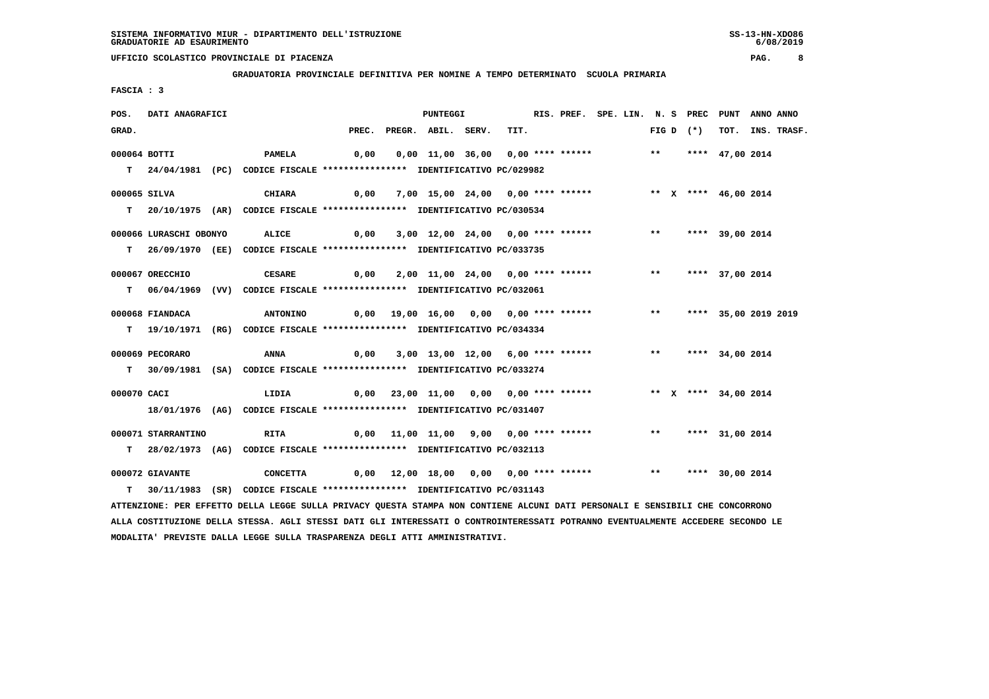**GRADUATORIA PROVINCIALE DEFINITIVA PER NOMINE A TEMPO DETERMINATO SCUOLA PRIMARIA**

 **FASCIA : 3**

| POS.        | DATI ANAGRAFICI        |                                                                                                                               |                                                                             | PUNTEGGI                                                               |      | RIS. PREF. SPE. LIN. N. S PREC PUNT ANNO ANNO |  |  |             |                      |                  |
|-------------|------------------------|-------------------------------------------------------------------------------------------------------------------------------|-----------------------------------------------------------------------------|------------------------------------------------------------------------|------|-----------------------------------------------|--|--|-------------|----------------------|------------------|
| GRAD.       |                        |                                                                                                                               |                                                                             | PREC. PREGR. ABIL. SERV.                                               | TIT. |                                               |  |  | FIG D $(*)$ |                      | TOT. INS. TRASF. |
|             | 000064 BOTTI           | <b>PAMELA</b>                                                                                                                 | 0,00                                                                        | 0,00 11,00 36,00 0,00 **** ******               **     **** 47,00 2014 |      |                                               |  |  |             |                      |                  |
|             |                        |                                                                                                                               |                                                                             |                                                                        |      |                                               |  |  |             |                      |                  |
|             |                        | T 24/04/1981 (PC) CODICE FISCALE **************** IDENTIFICATIVO PC/029982                                                    |                                                                             |                                                                        |      |                                               |  |  |             |                      |                  |
|             | 000065 SILVA           | CHIARA                                                                                                                        | 0,00                                                                        | 7,00 15,00 24,00 0,00 **** ******                                      |      |                                               |  |  |             | ** X **** 46,00 2014 |                  |
|             |                        | T 20/10/1975 (AR) CODICE FISCALE *************** IDENTIFICATIVO PC/030534                                                     |                                                                             |                                                                        |      |                                               |  |  |             |                      |                  |
|             |                        |                                                                                                                               |                                                                             |                                                                        |      |                                               |  |  |             |                      |                  |
|             | 000066 LURASCHI OBONYO | <b>ALICE</b>                                                                                                                  | 0,00 3,00 12,00 24,00 0,00 **** ******             **       **** 39,00 2014 |                                                                        |      |                                               |  |  |             |                      |                  |
|             |                        | T 26/09/1970 (EE) CODICE FISCALE *************** IDENTIFICATIVO PC/033735                                                     |                                                                             |                                                                        |      |                                               |  |  |             |                      |                  |
|             |                        |                                                                                                                               |                                                                             |                                                                        |      |                                               |  |  |             |                      |                  |
|             | 000067 ORECCHIO        | <b>CESARE</b>                                                                                                                 |                                                                             | 0,00 2,00 11,00 24,00 0,00 **** ****** *** *** **** 37,00 2014         |      |                                               |  |  |             |                      |                  |
|             |                        | T 06/04/1969 (VV) CODICE FISCALE *************** IDENTIFICATIVO PC/032061                                                     |                                                                             |                                                                        |      |                                               |  |  |             |                      |                  |
|             |                        |                                                                                                                               |                                                                             |                                                                        |      |                                               |  |  |             |                      |                  |
|             | 000068 FIANDACA        | <b>ANTONINO</b>                                                                                                               |                                                                             | 0,00 19,00 16,00 0,00 0,00 **** ****** *** *** **** 35,00 2019 2019    |      |                                               |  |  |             |                      |                  |
|             |                        | T 19/10/1971 (RG) CODICE FISCALE *************** IDENTIFICATIVO PC/034334                                                     |                                                                             |                                                                        |      |                                               |  |  |             |                      |                  |
|             | 000069 PECORARO        | ANNA                                                                                                                          | 0,00                                                                        | 3,00 13,00 12,00 6,00 **** ****** *** *** **** 34,00 2014              |      |                                               |  |  |             |                      |                  |
|             |                        | T 30/09/1981 (SA) CODICE FISCALE *************** IDENTIFICATIVO PC/033274                                                     |                                                                             |                                                                        |      |                                               |  |  |             |                      |                  |
|             |                        |                                                                                                                               |                                                                             |                                                                        |      |                                               |  |  |             |                      |                  |
| 000070 CACI |                        | LIDIA                                                                                                                         |                                                                             | 0,00 23,00 11,00 0,00 0,00 **** ****** *** ** ** *** 34,00 2014        |      |                                               |  |  |             |                      |                  |
|             |                        | 18/01/1976 (AG) CODICE FISCALE *************** IDENTIFICATIVO PC/031407                                                       |                                                                             |                                                                        |      |                                               |  |  |             |                      |                  |
|             |                        |                                                                                                                               |                                                                             |                                                                        |      |                                               |  |  |             |                      |                  |
|             | 000071 STARRANTINO     | RITA                                                                                                                          |                                                                             | 0,00 11,00 11,00 9,00 0,00 **** ****** *** *** **** 31,00 2014         |      |                                               |  |  |             |                      |                  |
|             |                        | T 28/02/1973 (AG) CODICE FISCALE *************** IDENTIFICATIVO PC/032113                                                     |                                                                             |                                                                        |      |                                               |  |  |             |                      |                  |
|             |                        |                                                                                                                               |                                                                             |                                                                        |      |                                               |  |  |             |                      |                  |
|             | 000072 GIAVANTE        | CONCETTA                                                                                                                      |                                                                             | 0,00 12,00 18,00 0,00 0,00 **** ******                                 |      |                                               |  |  |             | ** **** 30,00 2014   |                  |
|             |                        | T 30/11/1983 (SR) CODICE FISCALE **************** IDENTIFICATIVO PC/031143                                                    |                                                                             |                                                                        |      |                                               |  |  |             |                      |                  |
|             |                        | ATTENZIONE: PER EFFETTO DELLA LEGGE SULLA PRIVACY QUESTA STAMPA NON CONTIENE ALCUNI DATI PERSONALI E SENSIBILI CHE CONCORRONO |                                                                             |                                                                        |      |                                               |  |  |             |                      |                  |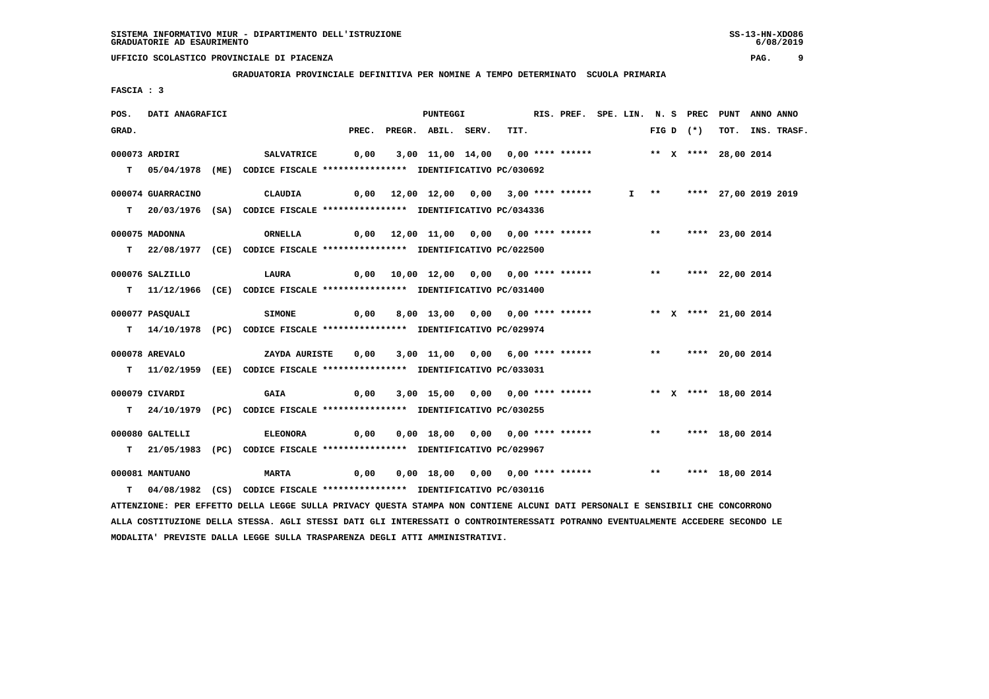**GRADUATORIA PROVINCIALE DEFINITIVA PER NOMINE A TEMPO DETERMINATO SCUOLA PRIMARIA**

 **FASCIA : 3**

| POS.  | DATI ANAGRAFICI   |                                                                                                                               |      | PUNTEGGI                                                                |      | RIS. PREF. SPE. LIN. N. S PREC PUNT ANNO ANNO |  |  |             |                           |                  |
|-------|-------------------|-------------------------------------------------------------------------------------------------------------------------------|------|-------------------------------------------------------------------------|------|-----------------------------------------------|--|--|-------------|---------------------------|------------------|
| GRAD. |                   |                                                                                                                               |      | PREC. PREGR. ABIL. SERV.                                                | TIT. |                                               |  |  | FIG D $(*)$ |                           | TOT. INS. TRASF. |
|       | 000073 ARDIRI     | <b>SALVATRICE</b>                                                                                                             |      | 0,00 3,00 11,00 14,00 0,00 **** ******                                  |      |                                               |  |  |             | ** X **** 28,00 2014      |                  |
|       |                   |                                                                                                                               |      |                                                                         |      |                                               |  |  |             |                           |                  |
|       |                   | T 05/04/1978 (ME) CODICE FISCALE *************** IDENTIFICATIVO PC/030692                                                     |      |                                                                         |      |                                               |  |  |             |                           |                  |
|       | 000074 GUARRACINO | CLAUDIA                                                                                                                       |      | 0,00 12,00 12,00 0,00 3,00 **** ******                                  |      |                                               |  |  |             | I ** **** 27,00 2019 2019 |                  |
|       |                   | T 20/03/1976 (SA) CODICE FISCALE *************** IDENTIFICATIVO PC/034336                                                     |      |                                                                         |      |                                               |  |  |             |                           |                  |
|       | 000075 MADONNA    |                                                                                                                               |      | 0,00 12,00 11,00 0,00 0,00 **** ****** *** *** **** 23,00 2014          |      |                                               |  |  |             |                           |                  |
|       |                   | ORNELLA                                                                                                                       |      |                                                                         |      |                                               |  |  |             |                           |                  |
|       |                   | T 22/08/1977 (CE) CODICE FISCALE *************** IDENTIFICATIVO PC/022500                                                     |      |                                                                         |      |                                               |  |  |             |                           |                  |
|       | 000076 SALZILLO   | <b>LAURA</b>                                                                                                                  |      |                                                                         |      |                                               |  |  |             | ** **** 22,00 2014        |                  |
|       |                   | T 11/12/1966 (CE) CODICE FISCALE **************** IDENTIFICATIVO PC/031400                                                    |      |                                                                         |      |                                               |  |  |             |                           |                  |
|       |                   |                                                                                                                               |      |                                                                         |      |                                               |  |  |             |                           |                  |
|       | 000077 PASQUALI   | <b>SIMONE</b>                                                                                                                 | 0,00 | 8,00 13,00 0,00 0,00 **** ****** *** ** ** **** 21,00 2014              |      |                                               |  |  |             |                           |                  |
|       |                   | T 14/10/1978 (PC) CODICE FISCALE *************** IDENTIFICATIVO PC/029974                                                     |      |                                                                         |      |                                               |  |  |             |                           |                  |
|       |                   |                                                                                                                               |      |                                                                         |      |                                               |  |  |             |                           |                  |
|       | 000078 AREVALO    | ZAYDA AURISTE                                                                                                                 | 0,00 | 3,00 11,00 0,00 6,00 **** ******               **       **** 20,00 2014 |      |                                               |  |  |             |                           |                  |
|       |                   | T 11/02/1959 (EE) CODICE FISCALE *************** IDENTIFICATIVO PC/033031                                                     |      |                                                                         |      |                                               |  |  |             |                           |                  |
|       | 000079 CIVARDI    | GAIA                                                                                                                          | 0,00 |                                                                         |      |                                               |  |  |             |                           |                  |
|       |                   | T 24/10/1979 (PC) CODICE FISCALE **************** IDENTIFICATIVO PC/030255                                                    |      |                                                                         |      |                                               |  |  |             |                           |                  |
|       |                   |                                                                                                                               |      |                                                                         |      |                                               |  |  |             |                           |                  |
|       | 000080 GALTELLI   | <b>ELEONORA</b>                                                                                                               | 0,00 | 0,00 18,00 0,00 0,00 **** ****** *** *** **** 18,00 2014                |      |                                               |  |  |             |                           |                  |
|       |                   | T 21/05/1983 (PC) CODICE FISCALE **************** IDENTIFICATIVO PC/029967                                                    |      |                                                                         |      |                                               |  |  |             |                           |                  |
|       | 000081 MANTUANO   | <b>MARTA</b>                                                                                                                  | 0,00 | 0,00 18,00 0,00 0,00 **** ******             **       **** 18,00 2014   |      |                                               |  |  |             |                           |                  |
|       |                   |                                                                                                                               |      |                                                                         |      |                                               |  |  |             |                           |                  |
|       |                   | T 04/08/1982 (CS) CODICE FISCALE *************** IDENTIFICATIVO PC/030116                                                     |      |                                                                         |      |                                               |  |  |             |                           |                  |
|       |                   | ATTENZIONE: PER EFFETTO DELLA LEGGE SULLA PRIVACY QUESTA STAMPA NON CONTIENE ALCUNI DATI PERSONALI E SENSIBILI CHE CONCORRONO |      |                                                                         |      |                                               |  |  |             |                           |                  |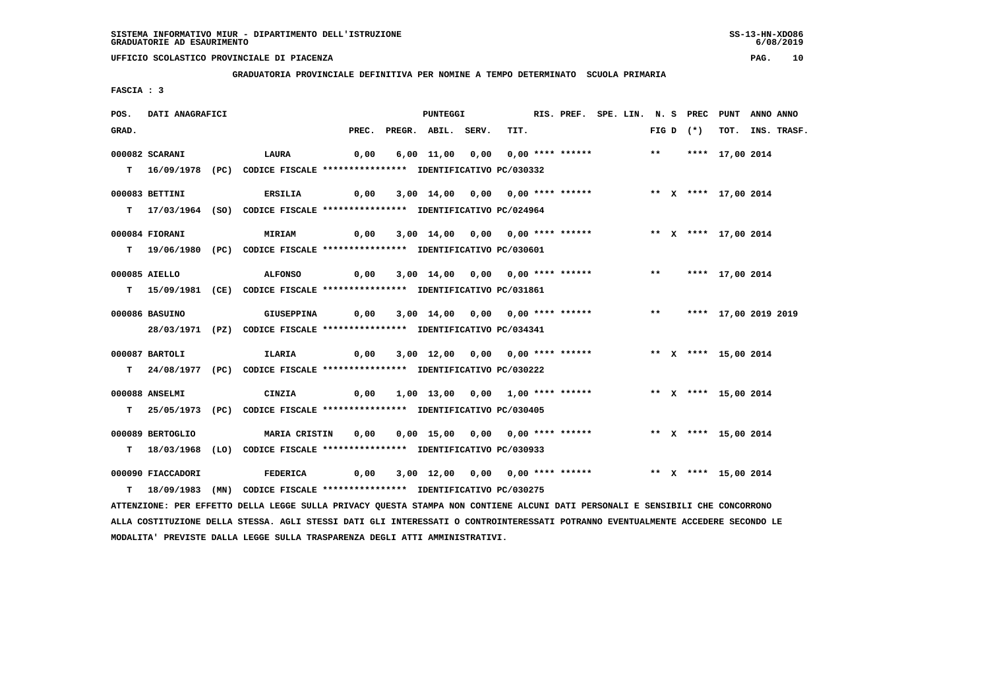**GRADUATORIA PROVINCIALE DEFINITIVA PER NOMINE A TEMPO DETERMINATO SCUOLA PRIMARIA**

 **FASCIA : 3**

| POS.  | DATI ANAGRAFICI   |                                                                                                                               |      | PUNTEGGI                                                             |      | RIS. PREF. SPE. LIN. N. S PREC PUNT ANNO ANNO |  |  |             |                      |                  |
|-------|-------------------|-------------------------------------------------------------------------------------------------------------------------------|------|----------------------------------------------------------------------|------|-----------------------------------------------|--|--|-------------|----------------------|------------------|
| GRAD. |                   |                                                                                                                               |      | PREC. PREGR. ABIL. SERV.                                             | TIT. |                                               |  |  | FIG D $(*)$ |                      | TOT. INS. TRASF. |
|       | 000082 SCARANI    | LAURA                                                                                                                         | 0,00 | 6,00 11,00 0,00 0,00 **** ****** *** *** **** 17,00 2014             |      |                                               |  |  |             |                      |                  |
|       |                   |                                                                                                                               |      |                                                                      |      |                                               |  |  |             |                      |                  |
|       |                   | T 16/09/1978 (PC) CODICE FISCALE **************** IDENTIFICATIVO PC/030332                                                    |      |                                                                      |      |                                               |  |  |             |                      |                  |
|       | 000083 BETTINI    | 0,00<br><b>ERSILIA</b>                                                                                                        |      | 3,00 14,00 0,00 0,00 **** ******                                     |      |                                               |  |  |             | ** X **** 17,00 2014 |                  |
|       |                   | T 17/03/1964 (SO) CODICE FISCALE *************** IDENTIFICATIVO PC/024964                                                     |      |                                                                      |      |                                               |  |  |             |                      |                  |
|       |                   |                                                                                                                               |      |                                                                      |      |                                               |  |  |             |                      |                  |
|       | 000084 FIORANI    | <b>MIRIAM</b>                                                                                                                 | 0,00 | 3,00 14,00  0,00  0,00 **** ******      ** x **** 17,00 2014         |      |                                               |  |  |             |                      |                  |
|       |                   | T 19/06/1980 (PC) CODICE FISCALE *************** IDENTIFICATIVO PC/030601                                                     |      |                                                                      |      |                                               |  |  |             |                      |                  |
|       |                   |                                                                                                                               |      |                                                                      |      |                                               |  |  |             |                      |                  |
|       | 000085 AIELLO     | <b>ALFONSO</b>                                                                                                                |      | 0,00 3,00 14,00 0,00 0,00 **** ****** *** *** **** 17,00 2014        |      |                                               |  |  |             |                      |                  |
|       |                   | T 15/09/1981 (CE) CODICE FISCALE *************** IDENTIFICATIVO PC/031861                                                     |      |                                                                      |      |                                               |  |  |             |                      |                  |
|       |                   |                                                                                                                               |      |                                                                      |      |                                               |  |  |             |                      |                  |
|       | 000086 BASUINO    | <b>GIUSEPPINA</b>                                                                                                             |      | $0,00$ 3,00 14,00 0,00 0,00 **** ****** *** *** **** 17,00 2019 2019 |      |                                               |  |  |             |                      |                  |
|       |                   | 28/03/1971 (PZ) CODICE FISCALE *************** IDENTIFICATIVO PC/034341                                                       |      |                                                                      |      |                                               |  |  |             |                      |                  |
|       | 000087 BARTOLI    | ILARIA                                                                                                                        | 0,00 | 3,00 12,00 0,00 0,00 **** ******             ** x **** 15,00 2014    |      |                                               |  |  |             |                      |                  |
|       |                   | T 24/08/1977 (PC) CODICE FISCALE **************** IDENTIFICATIVO PC/030222                                                    |      |                                                                      |      |                                               |  |  |             |                      |                  |
|       |                   |                                                                                                                               |      |                                                                      |      |                                               |  |  |             |                      |                  |
|       | 000088 ANSELMI    | CINZIA                                                                                                                        |      | 0,00 1,00 13,00 0,00 1,00 **** ****** **** ** ** **** 15,00 2014     |      |                                               |  |  |             |                      |                  |
|       |                   | T 25/05/1973 (PC) CODICE FISCALE *************** IDENTIFICATIVO PC/030405                                                     |      |                                                                      |      |                                               |  |  |             |                      |                  |
|       |                   |                                                                                                                               |      |                                                                      |      |                                               |  |  |             |                      |                  |
|       | 000089 BERTOGLIO  | MARIA CRISTIN                                                                                                                 | 0,00 | 0,00 15,00 0,00 0,00 **** ****** *** ** ** **** 15,00 2014           |      |                                               |  |  |             |                      |                  |
|       |                   | T 18/03/1968 (LO) CODICE FISCALE *************** IDENTIFICATIVO PC/030933                                                     |      |                                                                      |      |                                               |  |  |             |                      |                  |
|       |                   |                                                                                                                               |      |                                                                      |      |                                               |  |  |             |                      |                  |
|       | 000090 FIACCADORI | <b>FEDERICA</b>                                                                                                               | 0,00 | 3,00 12,00 0,00 0,00 **** ******                                     |      |                                               |  |  |             | ** X **** 15,00 2014 |                  |
|       |                   | T 18/09/1983 (MN) CODICE FISCALE **************** IDENTIFICATIVO PC/030275                                                    |      |                                                                      |      |                                               |  |  |             |                      |                  |
|       |                   | ATTENZIONE: PER EFFETTO DELLA LEGGE SULLA PRIVACY QUESTA STAMPA NON CONTIENE ALCUNI DATI PERSONALI E SENSIBILI CHE CONCORRONO |      |                                                                      |      |                                               |  |  |             |                      |                  |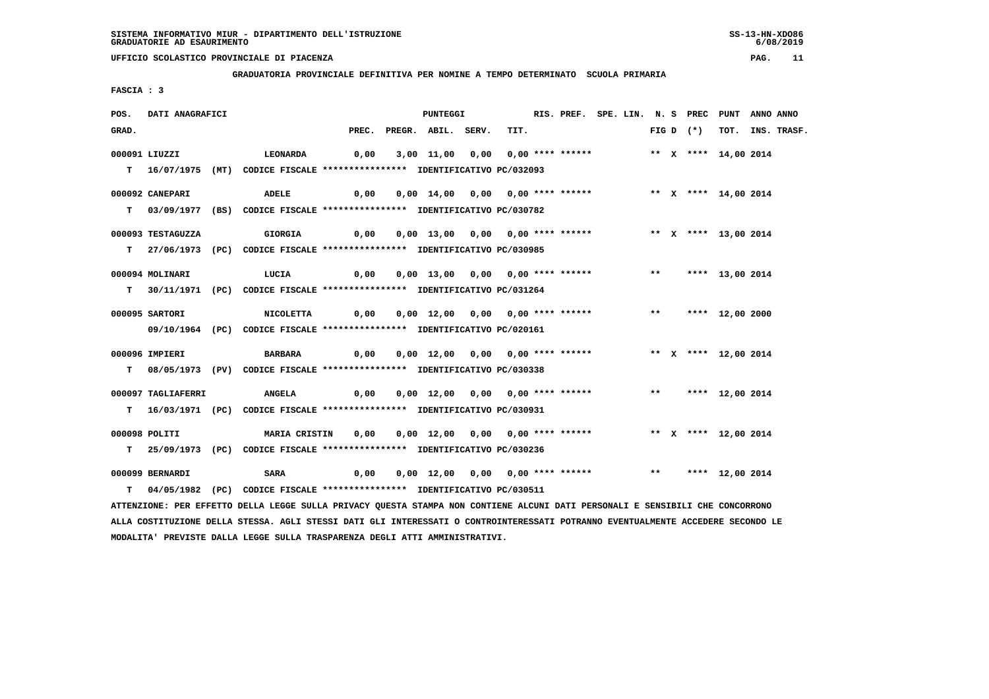**GRADUATORIA PROVINCIALE DEFINITIVA PER NOMINE A TEMPO DETERMINATO SCUOLA PRIMARIA**

 **FASCIA : 3**

| POS.  | DATI ANAGRAFICI    |                                                                                                                                 |      | PUNTEGGI                                                                            |      | RIS. PREF. SPE. LIN. N. S PREC PUNT ANNO ANNO |  |  |             |                      |                  |
|-------|--------------------|---------------------------------------------------------------------------------------------------------------------------------|------|-------------------------------------------------------------------------------------|------|-----------------------------------------------|--|--|-------------|----------------------|------------------|
| GRAD. |                    |                                                                                                                                 |      | PREC. PREGR. ABIL. SERV.                                                            | TIT. |                                               |  |  | FIG D $(*)$ |                      | TOT. INS. TRASF. |
|       | 000091 LIUZZI      | LEONARDA                                                                                                                        |      | $0,00$ 3,00 11,00 0,00 0,00 **** ****** *** ** ** **** 14,00 2014                   |      |                                               |  |  |             |                      |                  |
|       |                    |                                                                                                                                 |      |                                                                                     |      |                                               |  |  |             |                      |                  |
|       |                    | T 16/07/1975 (MT) CODICE FISCALE *************** IDENTIFICATIVO PC/032093                                                       |      |                                                                                     |      |                                               |  |  |             |                      |                  |
|       | 000092 CANEPARI    | ADELE                                                                                                                           | 0,00 | 0,00 14,00 0,00 0,00 **** ******               ** x **** 14,00 2014                 |      |                                               |  |  |             |                      |                  |
|       |                    | T 03/09/1977 (BS) CODICE FISCALE **************** IDENTIFICATIVO PC/030782                                                      |      |                                                                                     |      |                                               |  |  |             |                      |                  |
|       |                    |                                                                                                                                 |      |                                                                                     |      |                                               |  |  |             |                      |                  |
|       | 000093 TESTAGUZZA  | GIORGIA                                                                                                                         |      |                                                                                     |      |                                               |  |  |             | ** X **** 13,00 2014 |                  |
|       |                    | T 27/06/1973 (PC) CODICE FISCALE *************** IDENTIFICATIVO PC/030985                                                       |      |                                                                                     |      |                                               |  |  |             |                      |                  |
|       |                    |                                                                                                                                 |      |                                                                                     |      |                                               |  |  |             |                      |                  |
|       | 000094 MOLINARI    | LUCIA<br>0,00                                                                                                                   |      | 0,00 13,00 0,00 0,00 **** ******               **       **** 13,00 2014             |      |                                               |  |  |             |                      |                  |
|       |                    | T 30/11/1971 (PC) CODICE FISCALE *************** IDENTIFICATIVO PC/031264                                                       |      |                                                                                     |      |                                               |  |  |             |                      |                  |
|       |                    |                                                                                                                                 |      |                                                                                     |      |                                               |  |  |             |                      |                  |
|       | 000095 SARTORI     | <b>NICOLETTA</b>                                                                                                                |      |                                                                                     |      |                                               |  |  |             |                      |                  |
|       |                    | 09/10/1964 (PC) CODICE FISCALE *************** IDENTIFICATIVO PC/020161                                                         |      |                                                                                     |      |                                               |  |  |             |                      |                  |
|       | 000096 IMPIERI     | <b>BARBARA</b>                                                                                                                  |      | 0,00  0,00 12,00  0,00  0,00 **** ******      ** x **** 12,00 2014                  |      |                                               |  |  |             |                      |                  |
|       |                    | T 08/05/1973 (PV) CODICE FISCALE *************** IDENTIFICATIVO PC/030338                                                       |      |                                                                                     |      |                                               |  |  |             |                      |                  |
|       |                    |                                                                                                                                 |      |                                                                                     |      |                                               |  |  |             |                      |                  |
|       | 000097 TAGLIAFERRI | <b>ANGELA</b>                                                                                                                   |      | 0,00  0,00  12,00  0,00  0,00  ****  ******    **         ***    ***    12,00  2014 |      |                                               |  |  |             |                      |                  |
|       |                    | T 16/03/1971 (PC) CODICE FISCALE **************** IDENTIFICATIVO PC/030931                                                      |      |                                                                                     |      |                                               |  |  |             |                      |                  |
|       |                    |                                                                                                                                 |      |                                                                                     |      |                                               |  |  |             |                      |                  |
|       | 000098 POLITI      | <b>MARIA CRISTIN</b>                                                                                                            |      |                                                                                     |      |                                               |  |  |             |                      |                  |
|       |                    | T 25/09/1973 (PC) CODICE FISCALE *************** IDENTIFICATIVO PC/030236                                                       |      |                                                                                     |      |                                               |  |  |             |                      |                  |
|       |                    |                                                                                                                                 |      |                                                                                     |      |                                               |  |  |             |                      |                  |
|       | 000099 BERNARDI    | <b>SARA</b>                                                                                                                     | 0,00 | 0,00 12,00 0,00 0,00 **** ****** *** *** **** 12,00 2014                            |      |                                               |  |  |             |                      |                  |
|       |                    | T 04/05/1982 (PC) CODICE FISCALE **************** IDENTIFICATIVO PC/030511                                                      |      |                                                                                     |      |                                               |  |  |             |                      |                  |
|       |                    | ATTENZIONE: PER EFFETTO DELLA LEGGE SULLA PRIVACY QUESTA STAMPA NON CONTIENE ALCUNI DATI PERSONALI E SENSIBILI CHE CONCORRONO   |      |                                                                                     |      |                                               |  |  |             |                      |                  |
|       |                    | ALLA COSTITUZIONE DELLA STESSA. AGLI STESSI DATI GLI INTERESSATI O CONTROINTERESSATI POTRANNO EVENTUALMENTE ACCEDERE SECONDO LE |      |                                                                                     |      |                                               |  |  |             |                      |                  |

 **MODALITA' PREVISTE DALLA LEGGE SULLA TRASPARENZA DEGLI ATTI AMMINISTRATIVI.**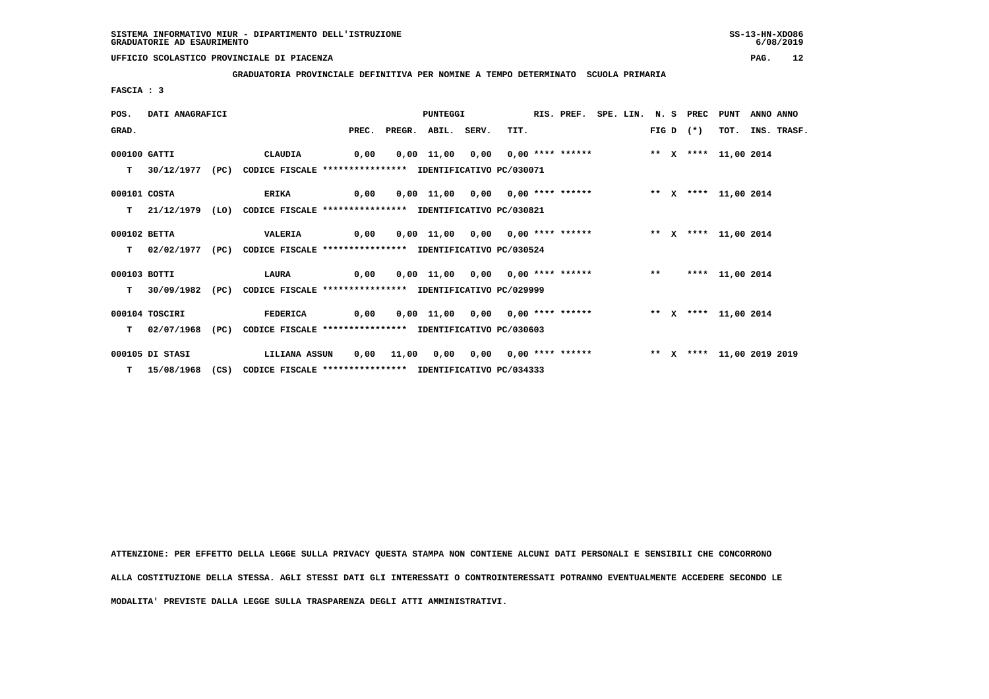**GRADUATORIA PROVINCIALE DEFINITIVA PER NOMINE A TEMPO DETERMINATO SCUOLA PRIMARIA**

 **FASCIA : 3**

| POS.         | DATI ANAGRAFICI  |      |                                                                            |                                                                                      | <b>PUNTEGGI</b> |      | RIS. PREF. SPE. LIN. N. S PREC |  |  |             | PUNT            | ANNO ANNO |                  |
|--------------|------------------|------|----------------------------------------------------------------------------|--------------------------------------------------------------------------------------|-----------------|------|--------------------------------|--|--|-------------|-----------------|-----------|------------------|
| GRAD.        |                  |      |                                                                            | PREC. PREGR. ABIL. SERV.                                                             |                 | TIT. |                                |  |  | $FIG D (*)$ |                 |           | TOT. INS. TRASF. |
| 000100 GATTI |                  |      | CLAUDIA                                                                    |                                                                                      |                 |      |                                |  |  |             |                 |           |                  |
|              |                  |      | T 30/12/1977 (PC) CODICE FISCALE *************** IDENTIFICATIVO PC/030071  |                                                                                      |                 |      |                                |  |  |             |                 |           |                  |
| 000101 COSTA |                  |      | ERIKA 0,00 0,00 11,00 0,00 0,00 **** ****** *** ** ** **** 11,00 2014      |                                                                                      |                 |      |                                |  |  |             |                 |           |                  |
|              |                  |      | T 21/12/1979 (LO) CODICE FISCALE *************** IDENTIFICATIVO PC/030821  |                                                                                      |                 |      |                                |  |  |             |                 |           |                  |
| 000102 BETTA |                  |      | <b>VALERIA</b>                                                             | 0,00  0,00  11,00  0,00  0,00  ****  ******                 **    x **** 11,00  2014 |                 |      |                                |  |  |             |                 |           |                  |
|              |                  |      | T 02/02/1977 (PC) CODICE FISCALE *************** IDENTIFICATIVO PC/030524  |                                                                                      |                 |      |                                |  |  |             |                 |           |                  |
| 000103 BOTTI |                  |      | <b>LAURA</b>                                                               |                                                                                      |                 |      |                                |  |  |             | **** 11,00 2014 |           |                  |
|              |                  |      | T 30/09/1982 (PC) CODICE FISCALE *************** IDENTIFICATIVO PC/029999  |                                                                                      |                 |      |                                |  |  |             |                 |           |                  |
|              | 000104 TOSCIRI   |      | <b>FEDERICA</b>                                                            | 0,00  0,00 11,00  0,00  0,00 **** ******      ** x **** 11,00 2014                   |                 |      |                                |  |  |             |                 |           |                  |
|              | $T = 02/07/1968$ | (PC) | CODICE FISCALE **************** IDENTIFICATIVO PC/030603                   |                                                                                      |                 |      |                                |  |  |             |                 |           |                  |
|              | 000105 DI STASI  |      | LILIANA ASSUN                                                              | 0,00 11,00 0,00 0,00 0,00 **** ******           ** x **** 11,00 2019 2019            |                 |      |                                |  |  |             |                 |           |                  |
|              |                  |      | T 15/08/1968 (CS) CODICE FISCALE **************** IDENTIFICATIVO PC/034333 |                                                                                      |                 |      |                                |  |  |             |                 |           |                  |

 **ATTENZIONE: PER EFFETTO DELLA LEGGE SULLA PRIVACY QUESTA STAMPA NON CONTIENE ALCUNI DATI PERSONALI E SENSIBILI CHE CONCORRONO ALLA COSTITUZIONE DELLA STESSA. AGLI STESSI DATI GLI INTERESSATI O CONTROINTERESSATI POTRANNO EVENTUALMENTE ACCEDERE SECONDO LE MODALITA' PREVISTE DALLA LEGGE SULLA TRASPARENZA DEGLI ATTI AMMINISTRATIVI.**